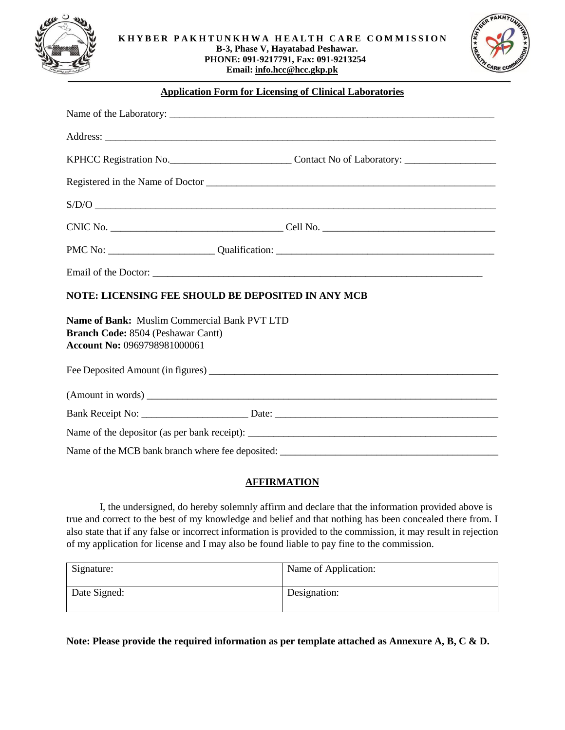



#### **Application Form for Licensing of Clinical Laboratories**

| S/D/O                                                                                                                                   |  |
|-----------------------------------------------------------------------------------------------------------------------------------------|--|
|                                                                                                                                         |  |
|                                                                                                                                         |  |
|                                                                                                                                         |  |
| NOTE: LICENSING FEE SHOULD BE DEPOSITED IN ANY MCB                                                                                      |  |
| <b>Name of Bank:</b> Muslim Commercial Bank PVT LTD<br><b>Branch Code: 8504 (Peshawar Cantt)</b><br><b>Account No: 0969798981000061</b> |  |
|                                                                                                                                         |  |
|                                                                                                                                         |  |
|                                                                                                                                         |  |
|                                                                                                                                         |  |
|                                                                                                                                         |  |

### **AFFIRMATION**

I, the undersigned, do hereby solemnly affirm and declare that the information provided above is true and correct to the best of my knowledge and belief and that nothing has been concealed there from. I also state that if any false or incorrect information is provided to the commission, it may result in rejection of my application for license and I may also be found liable to pay fine to the commission.

| Signature:   | Name of Application: |
|--------------|----------------------|
| Date Signed: | Designation:         |

**Note: Please provide the required information as per template attached as Annexure A, B, C & D.**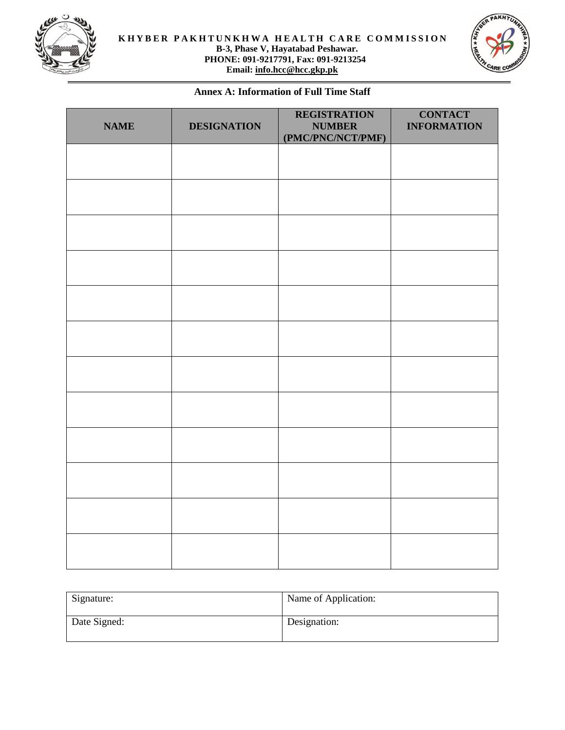



## **Annex A: Information of Full Time Staff**

| <b>NAME</b> | <b>DESIGNATION</b> | <b>REGISTRATION</b><br><b>NUMBER</b><br>(PMC/PNC/NCT/PMF) | <b>CONTACT</b><br><b>INFORMATION</b> |
|-------------|--------------------|-----------------------------------------------------------|--------------------------------------|
|             |                    |                                                           |                                      |
|             |                    |                                                           |                                      |
|             |                    |                                                           |                                      |
|             |                    |                                                           |                                      |
|             |                    |                                                           |                                      |
|             |                    |                                                           |                                      |
|             |                    |                                                           |                                      |
|             |                    |                                                           |                                      |
|             |                    |                                                           |                                      |
|             |                    |                                                           |                                      |
|             |                    |                                                           |                                      |
|             |                    |                                                           |                                      |

| Signature:   | Name of Application: |
|--------------|----------------------|
| Date Signed: | Designation:         |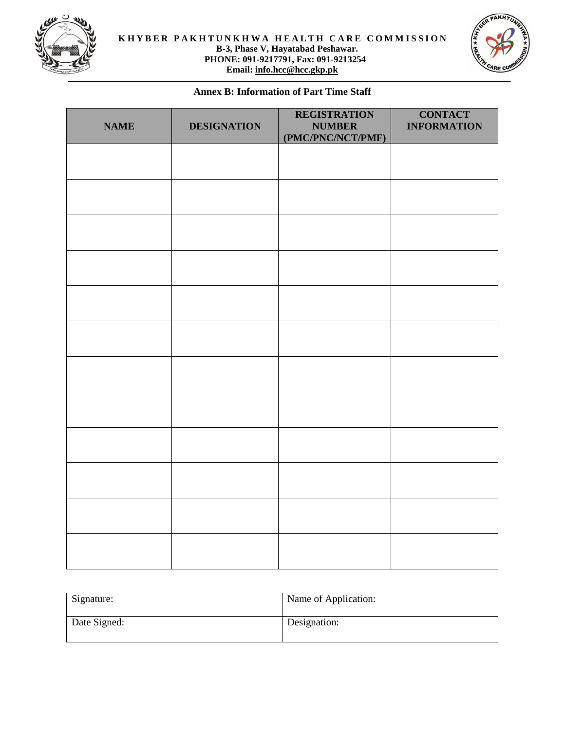



# **Annex B: Information of Part Time Staff**

| <b>NAME</b> | <b>DESIGNATION</b> | <b>REGISTRATION</b><br><b>NUMBER</b><br>(PMC/PNC/NCT/PMF) | <b>CONTACT</b><br><b>INFORMATION</b> |
|-------------|--------------------|-----------------------------------------------------------|--------------------------------------|
|             |                    |                                                           |                                      |
|             |                    |                                                           |                                      |
|             |                    |                                                           |                                      |
|             |                    |                                                           |                                      |
|             |                    |                                                           |                                      |
|             |                    |                                                           |                                      |
|             |                    |                                                           |                                      |
|             |                    |                                                           |                                      |
|             |                    |                                                           |                                      |
|             |                    |                                                           |                                      |
|             |                    |                                                           |                                      |
|             |                    |                                                           |                                      |

| Signature:   | Name of Application: |
|--------------|----------------------|
| Date Signed: | Designation:         |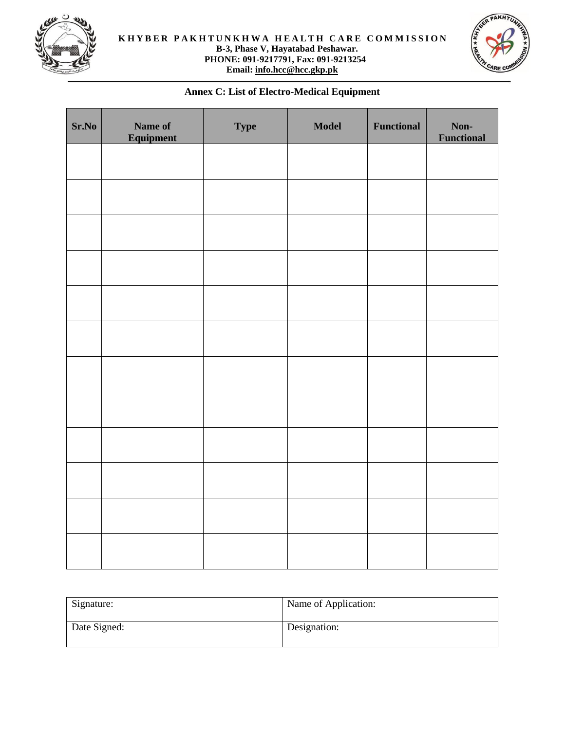



# **Annex C: List of Electro-Medical Equipment**

| Sr.No | Name of<br>Equipment | <b>Type</b> | <b>Model</b> | Functional | Non-<br><b>Functional</b> |
|-------|----------------------|-------------|--------------|------------|---------------------------|
|       |                      |             |              |            |                           |
|       |                      |             |              |            |                           |
|       |                      |             |              |            |                           |
|       |                      |             |              |            |                           |
|       |                      |             |              |            |                           |
|       |                      |             |              |            |                           |
|       |                      |             |              |            |                           |
|       |                      |             |              |            |                           |
|       |                      |             |              |            |                           |
|       |                      |             |              |            |                           |
|       |                      |             |              |            |                           |
|       |                      |             |              |            |                           |

| Signature:   | Name of Application: |
|--------------|----------------------|
| Date Signed: | Designation:         |